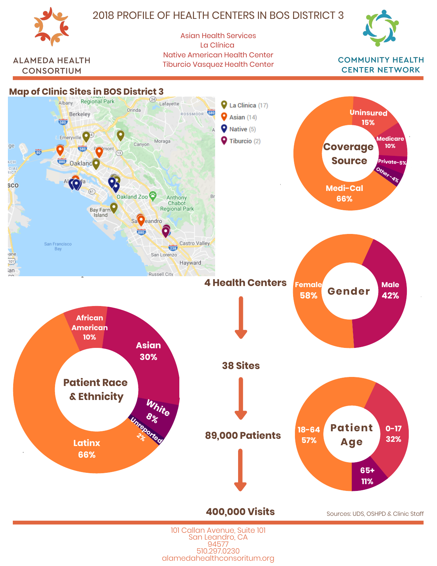

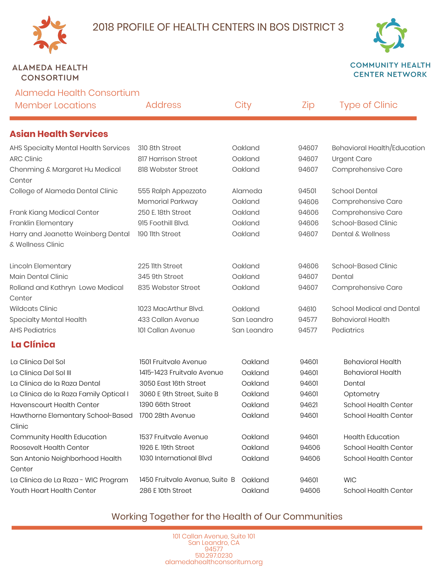

### **ALAMEDA HEALTH CONSORTIUM**

**COMMUNITY HEALTH CENTER NETWORK** 

| Alameda Health Consortium                                    |                                |             |       |                              |
|--------------------------------------------------------------|--------------------------------|-------------|-------|------------------------------|
| <b>Member Locations</b>                                      | <b>Address</b>                 | City        | Zip   | <b>Type of Clinic</b>        |
| <b>Asian Health Services</b>                                 |                                |             |       |                              |
| AHS Specialty Mental Health Services                         | 310 8th Street                 | Oakland     | 94607 | Behavioral Health/Education  |
| <b>ARC Clinic</b>                                            | 817 Harrison Street            | Oakland     | 94607 | <b>Urgent Care</b>           |
| Chenming & Margaret Hu Medical<br>Center                     | 818 Webster Street             | Oakland     | 94607 | Comprehensive Care           |
| College of Alameda Dental Clinic                             | 555 Ralph Appezzato            | Alameda     | 94501 | <b>School Dental</b>         |
|                                                              | Memorial Parkway               | Oakland     | 94606 | Comprehensive Care           |
| Frank Kiang Medical Center                                   | 250 E. 18th Street             | Oakland     | 94606 | Comprehensive Care           |
| Franklin Elementary                                          | 915 Foothill Blvd.             | Oakland     | 94606 | School-Based Clinic          |
| Harry and Jeanette Weinberg Dental<br>& Wellness Clinic      | 190 11th Street                | Oakland     | 94607 | <b>Dental &amp; Wellness</b> |
| Lincoln Elementary                                           | 225 llth Street                | Oakland     | 94606 | School-Based Clinic          |
| Main Dental Clinic                                           | 345 9th Street                 | Oakland     | 94607 | Dental                       |
| Rolland and Kathryn Lowe Medical<br>Center                   | 835 Webster Street             | Oakland     | 94607 | Comprehensive Care           |
| <b>Wildcats Clinic</b>                                       | 1023 MacArthur Blvd.           | Oakland     | 94610 | School Medical and Dental    |
| Specialty Mental Health                                      | 433 Callan Avenue              | San Leandro | 94577 | <b>Behavioral Health</b>     |
| <b>AHS Pediatrics</b>                                        | 101 Callan Avenue              | San Leandro | 94577 | Pediatrics                   |
| <b>La Clínica</b>                                            |                                |             |       |                              |
| La Clinica Del Sol                                           | 1501 Fruitvale Avenue          | Oakland     | 94601 | <b>Behavioral Health</b>     |
| La Clinica Del Sol III                                       | 1415-1423 Fruitvale Avenue     | Oakland     | 94601 | <b>Behavioral Health</b>     |
| La Clinica de la Raza Dental                                 | 3050 East 16th Street          | Oakland     | 94601 | Dental                       |
| La Clinica de la Raza Family Optical I                       | 3060 E 9th Street, Suite B     | Oakland     | 94601 | Optometry                    |
| <b>Havenscourt Health Center</b>                             | 1390 66th Street               | Oakland     | 94621 | School Health Center         |
| Hawthorne Elementary School-Based 1700 28th Avenue<br>Clinic |                                | Oakland     | 94601 | School Health Center         |
| Community Health Education                                   | 1537 Fruitvale Avenue          | Oakland     | 94601 | <b>Health Education</b>      |
| Roosevelt Health Center                                      | 1926 E. 19th Street            | Oakland     | 94606 | School Health Center         |
| San Antonio Neighborhood Health                              | 1030 International Blvd        | Oakland     | 94606 | School Health Center         |
| Center                                                       |                                |             |       |                              |
| La Clinica de La Raza - WIC Program                          | 1450 Fruitvale Avenue, Suite B | Oakland     | 94601 | <b>WIC</b>                   |
| Youth Heart Health Center                                    | 286 E 10th Street              | Oakland     | 94606 | School Health Center         |

# Working Together for the Health of Our Communities